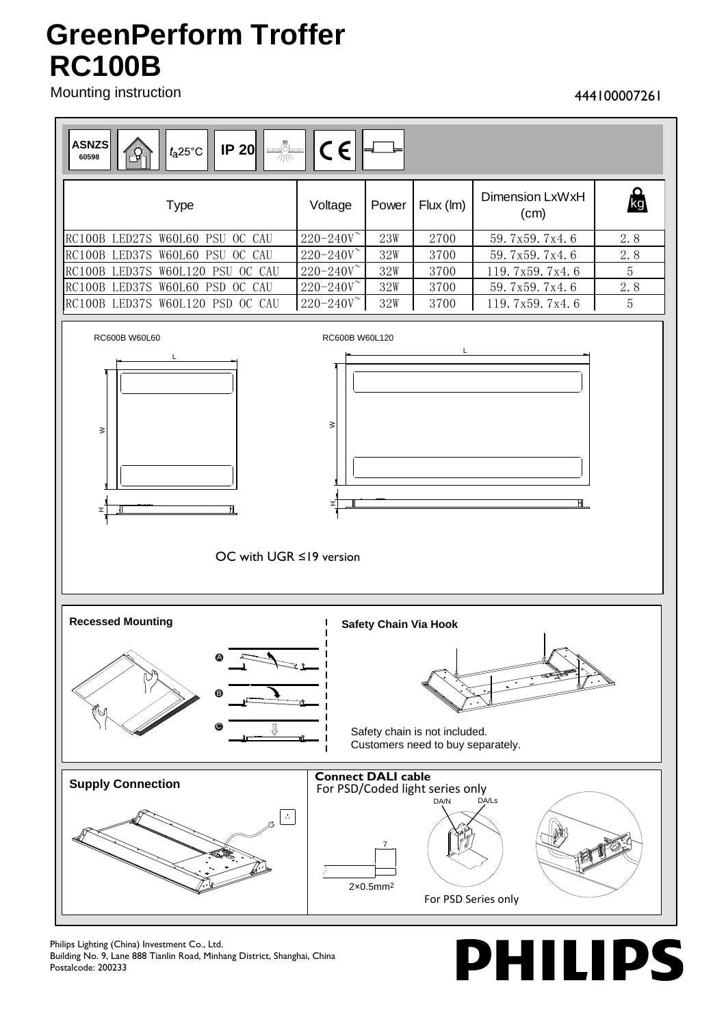## **RC100B GreenPerform Troffer**

Mounting instruction

## 444100007261



Philips Lighting (China) Investment Co., Ltd. Building No. 9, Lane 888 Tianlin Road, Minhang District, Shanghai, China Postalcode: 200233

**PHILIPS**